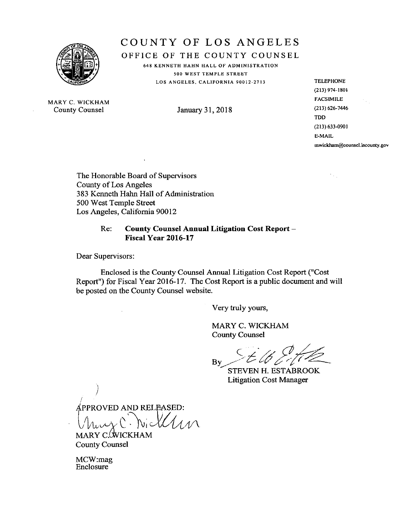

# COUNTY OF LOS ANGELES

OFFICE OF THE COUNTY COUNSEL

648 KENNETH HAHN HALL OF ADMINISTRATION 500 WEST TEMPLE STREET LOS ANGELES, CALIFORNIA 90012-2713

MARY C. WICKHAM County Counsel

January 31, 2018

**TELEPHONE**  $(213)$  974-1801 **FACSIMILE**  $(213) 626 - 7446$ **TDD**  $(213) 633 - 0901$ E-MAIL mwickham@counsel.lacounty.gov

ήų,

The Honorable Board of Supervisors **County of Los Angeles** 383 Kenneth Hahn Hall of Administration 500 West Temple Street Los Angeles, California 90012

#### Re: **County Counsel Annual Litigation Cost Report -**Fiscal Year 2016-17

Dear Supervisors:

Enclosed is the County Counsel Annual Litigation Cost Report ("Cost Report") for Fiscal Year 2016-17. The Cost Report is a public document and will be posted on the County Counsel website.

Very truly yours,

MARY C. WICKHAM **County Counsel** 

By

**STEVEN H. ESTABROOK Litigation Cost Manager** 

APPROVED AND RELEASED:

MARY C. WICKHAM **County Counsel** 

MCW:mag Enclosure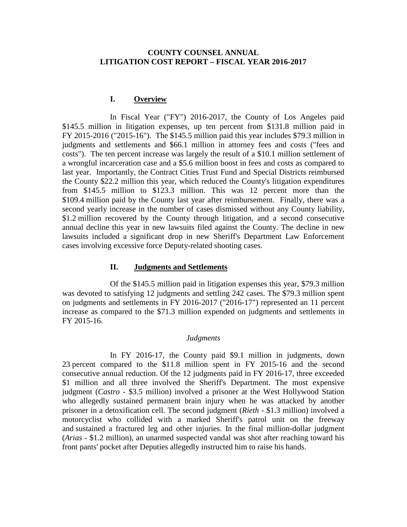## **COUNTY COUNSEL ANNUAL LITIGATION COST REPORT – FISCAL YEAR 2016-2017**

## **I. Overview**

In Fiscal Year ("FY") 2016-2017, the County of Los Angeles paid \$145.5 million in litigation expenses, up ten percent from \$131.8 million paid in FY 2015-2016 ("2015-16"). The \$145.5 million paid this year includes \$79.3 million in judgments and settlements and \$66.1 million in attorney fees and costs ("fees and costs"). The ten percent increase was largely the result of a \$10.1 million settlement of a wrongful incarceration case and a \$5.6 million boost in fees and costs as compared to last year. Importantly, the Contract Cities Trust Fund and Special Districts reimbursed the County \$22.2 million this year, which reduced the County's litigation expenditures from \$145.5 million to \$123.3 million. This was 12 percent more than the \$109.4 million paid by the County last year after reimbursement. Finally, there was a second yearly increase in the number of cases dismissed without any County liability, \$1.2 million recovered by the County through litigation, and a second consecutive annual decline this year in new lawsuits filed against the County. The decline in new lawsuits included a significant drop in new Sheriff's Department Law Enforcement cases involving excessive force Deputy-related shooting cases.

#### **II. Judgments and Settlements**

Of the \$145.5 million paid in litigation expenses this year, \$79.3 million was devoted to satisfying 12 judgments and settling 242 cases. The \$79.3 million spent on judgments and settlements in FY 2016-2017 ("2016-17") represented an 11 percent increase as compared to the \$71.3 million expended on judgments and settlements in FY 2015-16.

#### *Judgments*

In FY 2016-17, the County paid \$9.1 million in judgments, down 23 percent compared to the \$11.8 million spent in FY 2015-16 and the second consecutive annual reduction. Of the 12 judgments paid in FY 2016-17, three exceeded \$1 million and all three involved the Sheriff's Department. The most expensive judgment (*Castro* - \$3.5 million) involved a prisoner at the West Hollywood Station who allegedly sustained permanent brain injury when he was attacked by another prisoner in a detoxification cell. The second judgment (*Rieth* - \$1.3 million) involved a motorcyclist who collided with a marked Sheriff's patrol unit on the freeway and sustained a fractured leg and other injuries. In the final million-dollar judgment (*Arias* - \$1.2 million), an unarmed suspected vandal was shot after reaching toward his front pants' pocket after Deputies allegedly instructed him to raise his hands.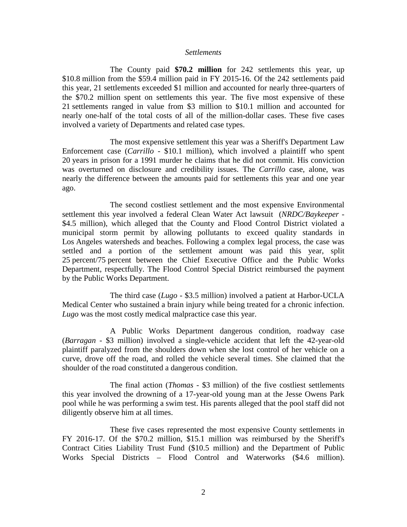#### *Settlements*

The County paid **\$70.2 million** for 242 settlements this year, up \$10.8 million from the \$59.4 million paid in FY 2015-16. Of the 242 settlements paid this year, 21 settlements exceeded \$1 million and accounted for nearly three-quarters of the \$70.2 million spent on settlements this year. The five most expensive of these 21 settlements ranged in value from \$3 million to \$10.1 million and accounted for nearly one-half of the total costs of all of the million-dollar cases. These five cases involved a variety of Departments and related case types.

The most expensive settlement this year was a Sheriff's Department Law Enforcement case (*Carrillo* - \$10.1 million), which involved a plaintiff who spent 20 years in prison for a 1991 murder he claims that he did not commit. His conviction was overturned on disclosure and credibility issues. The *Carrillo* case, alone, was nearly the difference between the amounts paid for settlements this year and one year ago.

The second costliest settlement and the most expensive Environmental settlement this year involved a federal Clean Water Act lawsuit (*NRDC/Baykeeper* - \$4.5 million), which alleged that the County and Flood Control District violated a municipal storm permit by allowing pollutants to exceed quality standards in Los Angeles watersheds and beaches. Following a complex legal process, the case was settled and a portion of the settlement amount was paid this year, split 25 percent/75 percent between the Chief Executive Office and the Public Works Department, respectfully. The Flood Control Special District reimbursed the payment by the Public Works Department.

The third case (*Lugo* - \$3.5 million) involved a patient at Harbor-UCLA Medical Center who sustained a brain injury while being treated for a chronic infection. *Lugo* was the most costly medical malpractice case this year.

A Public Works Department dangerous condition, roadway case (*Barragan* - \$3 million) involved a single-vehicle accident that left the 42-year-old plaintiff paralyzed from the shoulders down when she lost control of her vehicle on a curve, drove off the road, and rolled the vehicle several times. She claimed that the shoulder of the road constituted a dangerous condition.

The final action (*Thomas* - \$3 million) of the five costliest settlements this year involved the drowning of a 17-year-old young man at the Jesse Owens Park pool while he was performing a swim test. His parents alleged that the pool staff did not diligently observe him at all times.

These five cases represented the most expensive County settlements in FY 2016-17. Of the \$70.2 million, \$15.1 million was reimbursed by the Sheriff's Contract Cities Liability Trust Fund (\$10.5 million) and the Department of Public Works Special Districts – Flood Control and Waterworks (\$4.6 million).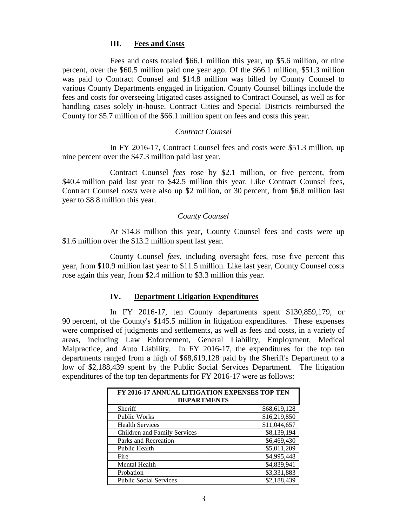## **III. Fees and Costs**

Fees and costs totaled \$66.1 million this year, up \$5.6 million, or nine percent, over the \$60.5 million paid one year ago. Of the \$66.1 million, \$51.3 million was paid to Contract Counsel and \$14.8 million was billed by County Counsel to various County Departments engaged in litigation. County Counsel billings include the fees and costs for overseeing litigated cases assigned to Contract Counsel, as well as for handling cases solely in-house. Contract Cities and Special Districts reimbursed the County for \$5.7 million of the \$66.1 million spent on fees and costs this year.

## *Contract Counsel*

In FY 2016-17, Contract Counsel fees and costs were \$51.3 million, up nine percent over the \$47.3 million paid last year.

Contract Counsel *fees* rose by \$2.1 million, or five percent, from \$40.4 million paid last year to \$42.5 million this year. Like Contract Counsel fees, Contract Counsel *costs* were also up \$2 million, or 30 percent, from \$6.8 million last year to \$8.8 million this year.

## *County Counsel*

At \$14.8 million this year, County Counsel fees and costs were up \$1.6 million over the \$13.2 million spent last year.

County Counsel *fees*, including oversight fees, rose five percent this year, from \$10.9 million last year to \$11.5 million. Like last year, County Counsel costs rose again this year, from \$2.4 million to \$3.3 million this year.

## **IV. Department Litigation Expenditures**

In FY 2016-17, ten County departments spent \$130,859,179, or 90 percent, of the County's \$145.5 million in litigation expenditures. These expenses were comprised of judgments and settlements, as well as fees and costs, in a variety of areas, including Law Enforcement, General Liability, Employment, Medical Malpractice, and Auto Liability. In FY 2016-17, the expenditures for the top ten departments ranged from a high of \$68,619,128 paid by the Sheriff's Department to a low of \$2,188,439 spent by the Public Social Services Department. The litigation expenditures of the top ten departments for FY 2016-17 were as follows:

| FY 2016-17 ANNUAL LITIGATION EXPENSES TOP TEN<br><b>DEPARTMENTS</b> |              |
|---------------------------------------------------------------------|--------------|
| <b>Sheriff</b>                                                      | \$68,619,128 |
| Public Works                                                        | \$16,219,850 |
| <b>Health Services</b>                                              | \$11,044,657 |
| Children and Family Services                                        | \$8,139,194  |
| Parks and Recreation                                                | \$6,469,430  |
| Public Health                                                       | \$5,011,209  |
| Fire                                                                | \$4,995,448  |
| <b>Mental Health</b>                                                | \$4,839,941  |
| Probation                                                           | \$3,331,883  |
| <b>Public Social Services</b>                                       | \$2,188,439  |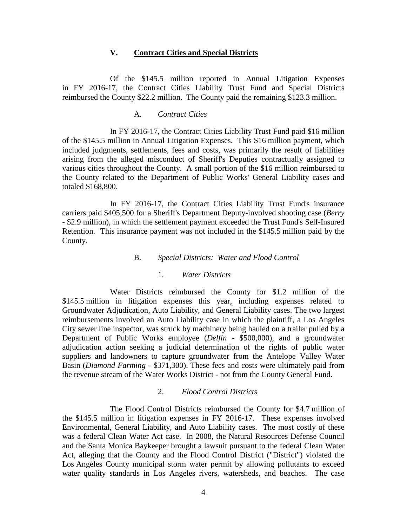## **V. Contract Cities and Special Districts**

Of the \$145.5 million reported in Annual Litigation Expenses in FY 2016-17, the Contract Cities Liability Trust Fund and Special Districts reimbursed the County \$22.2 million. The County paid the remaining \$123.3 million.

#### A. *Contract Cities*

In FY 2016-17, the Contract Cities Liability Trust Fund paid \$16 million of the \$145.5 million in Annual Litigation Expenses. This \$16 million payment, which included judgments, settlements, fees and costs, was primarily the result of liabilities arising from the alleged misconduct of Sheriff's Deputies contractually assigned to various cities throughout the County. A small portion of the \$16 million reimbursed to the County related to the Department of Public Works' General Liability cases and totaled \$168,800.

In FY 2016-17, the Contract Cities Liability Trust Fund's insurance carriers paid \$405,500 for a Sheriff's Department Deputy-involved shooting case (*Berry* - \$2.9 million), in which the settlement payment exceeded the Trust Fund's Self-Insured Retention. This insurance payment was not included in the \$145.5 million paid by the County.

#### B. *Special Districts: Water and Flood Control*

#### 1. *Water Districts*

Water Districts reimbursed the County for \$1.2 million of the \$145.5 million in litigation expenses this year, including expenses related to Groundwater Adjudication, Auto Liability, and General Liability cases. The two largest reimbursements involved an Auto Liability case in which the plaintiff, a Los Angeles City sewer line inspector, was struck by machinery being hauled on a trailer pulled by a Department of Public Works employee (*Delfin* - \$500,000), and a groundwater adjudication action seeking a judicial determination of the rights of public water suppliers and landowners to capture groundwater from the Antelope Valley Water Basin (*Diamond Farming* - \$371,300). These fees and costs were ultimately paid from the revenue stream of the Water Works District - not from the County General Fund.

## 2. *Flood Control Districts*

The Flood Control Districts reimbursed the County for \$4.7 million of the \$145.5 million in litigation expenses in FY 2016-17. These expenses involved Environmental, General Liability, and Auto Liability cases. The most costly of these was a federal Clean Water Act case. In 2008, the Natural Resources Defense Council and the Santa Monica Baykeeper brought a lawsuit pursuant to the federal Clean Water Act, alleging that the County and the Flood Control District ("District") violated the Los Angeles County municipal storm water permit by allowing pollutants to exceed water quality standards in Los Angeles rivers, watersheds, and beaches. The case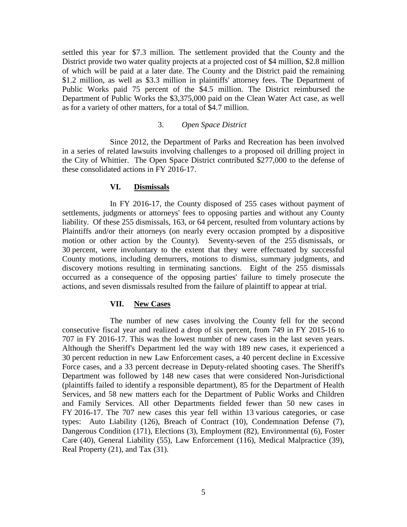settled this year for \$7.3 million. The settlement provided that the County and the District provide two water quality projects at a projected cost of \$4 million, \$2.8 million of which will be paid at a later date. The County and the District paid the remaining \$1.2 million, as well as \$3.3 million in plaintiffs' attorney fees. The Department of Public Works paid 75 percent of the \$4.5 million. The District reimbursed the Department of Public Works the \$3,375,000 paid on the Clean Water Act case, as well as for a variety of other matters, for a total of \$4.7 million.

## 3. *Open Space District*

Since 2012, the Department of Parks and Recreation has been involved in a series of related lawsuits involving challenges to a proposed oil drilling project in the City of Whittier. The Open Space District contributed \$277,000 to the defense of these consolidated actions in FY 2016-17.

## **VI. Dismissals**

In FY 2016-17, the County disposed of 255 cases without payment of settlements, judgments or attorneys' fees to opposing parties and without any County liability. Of these 255 dismissals, 163, or 64 percent, resulted from voluntary actions by Plaintiffs and/or their attorneys (on nearly every occasion prompted by a dispositive motion or other action by the County). Seventy-seven of the 255 dismissals, or 30 percent, were involuntary to the extent that they were effectuated by successful County motions, including demurrers, motions to dismiss, summary judgments, and discovery motions resulting in terminating sanctions. Eight of the 255 dismissals occurred as a consequence of the opposing parties' failure to timely prosecute the actions, and seven dismissals resulted from the failure of plaintiff to appear at trial.

### **VII. New Cases**

The number of new cases involving the County fell for the second consecutive fiscal year and realized a drop of six percent, from 749 in FY 2015-16 to 707 in FY 2016-17. This was the lowest number of new cases in the last seven years. Although the Sheriff's Department led the way with 189 new cases, it experienced a 30 percent reduction in new Law Enforcement cases, a 40 percent decline in Excessive Force cases, and a 33 percent decrease in Deputy-related shooting cases. The Sheriff's Department was followed by 148 new cases that were considered Non-Jurisdictional (plaintiffs failed to identify a responsible department), 85 for the Department of Health Services, and 58 new matters each for the Department of Public Works and Children and Family Services. All other Departments fielded fewer than 50 new cases in FY 2016-17. The 707 new cases this year fell within 13 various categories, or case types: Auto Liability (126), Breach of Contract (10), Condemnation Defense (7), Dangerous Condition (171), Elections (3), Employment (82), Environmental (6), Foster Care (40), General Liability (55), Law Enforcement (116), Medical Malpractice (39), Real Property (21), and Tax (31).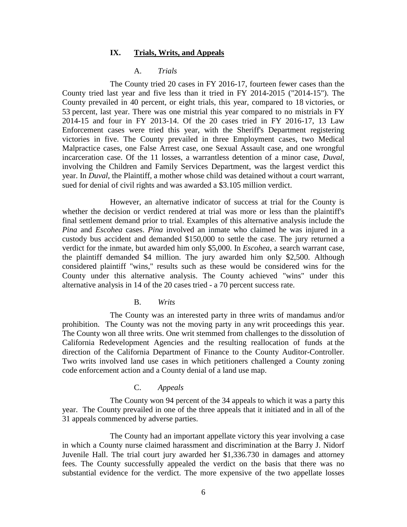#### **IX. Trials, Writs, and Appeals**

#### A. *Trials*

The County tried 20 cases in FY 2016-17, fourteen fewer cases than the County tried last year and five less than it tried in FY 2014-2015 ("2014-15"). The County prevailed in 40 percent, or eight trials, this year, compared to 18 victories, or 53 percent, last year. There was one mistrial this year compared to no mistrials in FY 2014-15 and four in FY 2013-14. Of the 20 cases tried in FY 2016-17, 13 Law Enforcement cases were tried this year, with the Sheriff's Department registering victories in five. The County prevailed in three Employment cases, two Medical Malpractice cases, one False Arrest case, one Sexual Assault case, and one wrongful incarceration case. Of the 11 losses, a warrantless detention of a minor case, *Duval*, involving the Children and Family Services Department, was the largest verdict this year. In *Duval*, the Plaintiff, a mother whose child was detained without a court warrant, sued for denial of civil rights and was awarded a \$3.105 million verdict.

However, an alternative indicator of success at trial for the County is whether the decision or verdict rendered at trial was more or less than the plaintiff's final settlement demand prior to trial. Examples of this alternative analysis include the *Pina* and *Escohea* cases. *Pina* involved an inmate who claimed he was injured in a custody bus accident and demanded \$150,000 to settle the case. The jury returned a verdict for the inmate, but awarded him only \$5,000. In *Escohea*, a search warrant case, the plaintiff demanded \$4 million. The jury awarded him only \$2,500. Although considered plaintiff "wins," results such as these would be considered wins for the County under this alternative analysis. The County achieved "wins" under this alternative analysis in 14 of the 20 cases tried - a 70 percent success rate.

#### B. *Writs*

The County was an interested party in three writs of mandamus and/or prohibition. The County was not the moving party in any writ proceedings this year. The County won all three writs. One writ stemmed from challenges to the dissolution of California Redevelopment Agencies and the resulting reallocation of funds at the direction of the California Department of Finance to the County Auditor-Controller. Two writs involved land use cases in which petitioners challenged a County zoning code enforcement action and a County denial of a land use map.

#### C. *Appeals*

The County won 94 percent of the 34 appeals to which it was a party this year. The County prevailed in one of the three appeals that it initiated and in all of the 31 appeals commenced by adverse parties.

The County had an important appellate victory this year involving a case in which a County nurse claimed harassment and discrimination at the Barry J. Nidorf Juvenile Hall. The trial court jury awarded her \$1,336.730 in damages and attorney fees. The County successfully appealed the verdict on the basis that there was no substantial evidence for the verdict. The more expensive of the two appellate losses